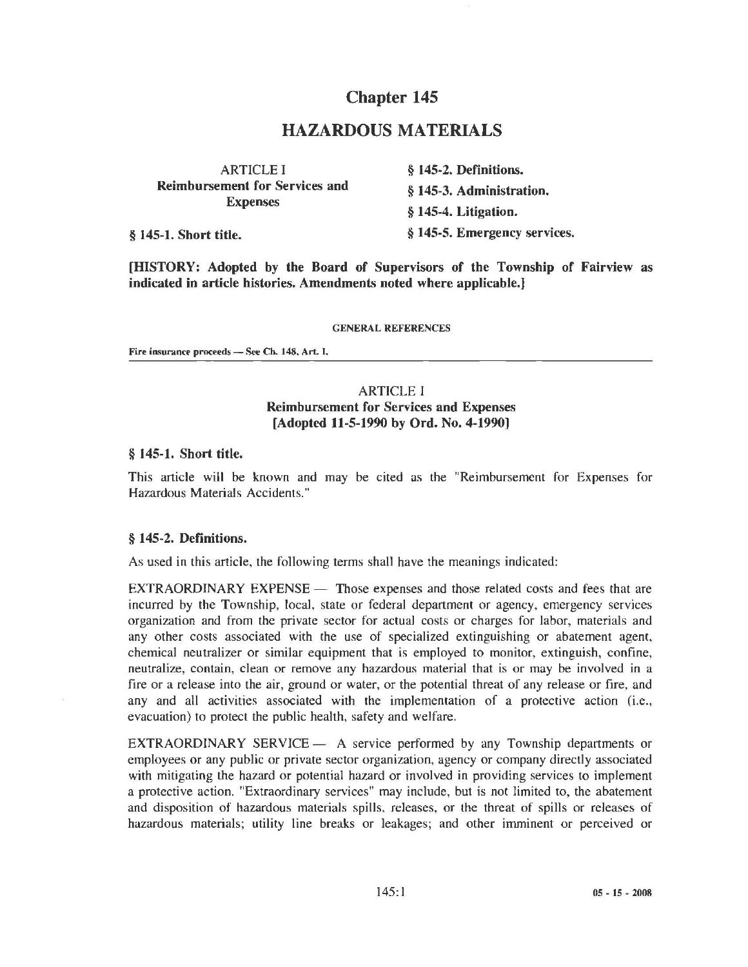# Chapter 145

# HAZARDOUS MATERIALS

| <b>ARTICLE I</b><br><b>Reimbursement for Services and</b><br><b>Expenses</b> | § 145-2. Definitions.        |
|------------------------------------------------------------------------------|------------------------------|
|                                                                              | § 145-3. Administration.     |
|                                                                              | § 145-4. Litigation.         |
| § 145-1. Short title.                                                        | § 145-5. Emergency services. |

[HISTORY: Adopted by the Board of Supervisors of the Township of Fairview as indicated in article histories. Amendments noted where applicable.}

GENERAL REFERENCES

Fire insurance proceeds - See Ch. 148, Art. I.

## ARTICLE I Reimbursement for Services and Expenses [Adopted 11-5-1990 by Ord. No. 4-1990)

### § 145-1. Short title.

This article will be known and may be cited as the "Reimbursement for Expenses for Hazardous Materials Accidents."

#### § 145-2. Definitions.

As used in this article, the following terms shall have the meanings indicated:

EXTRAORDINARY EXPENSE - Those expenses and those related costs and fees that are incurred by the Township, local, state or federal department or agency, emergency services organization and from the private sector for actual costs or charges for labor, materials and any other costs associated with the use of specialized extinguishing or abatement agent, chemical neutralizer or similar equipment that is employed to monitor, extinguish, confine, neutralize, contain, clean or remove any hazardous material that is or may be involved in a fire or a release into the air, ground or water, or the potential threat of any release or fire, and any and all activities associated with the implementation of a protective action (i.e., evacuation) to protect the public health, safety and welfare.

EXTRAORDINARY SERVICE - A service performed by any Township departments or employees or any public or private sector organization, agency or company directly associated with mitigating the hazard or potential hazard or involved in providing services to implement a protective action. "Extraordinary services" may include, but is not limited to, the abatement and disposition of hazardous materials spills. releases, or the threat of spills or releases of hazardous materials; utility line breaks or leakages; and other imminent or perceived or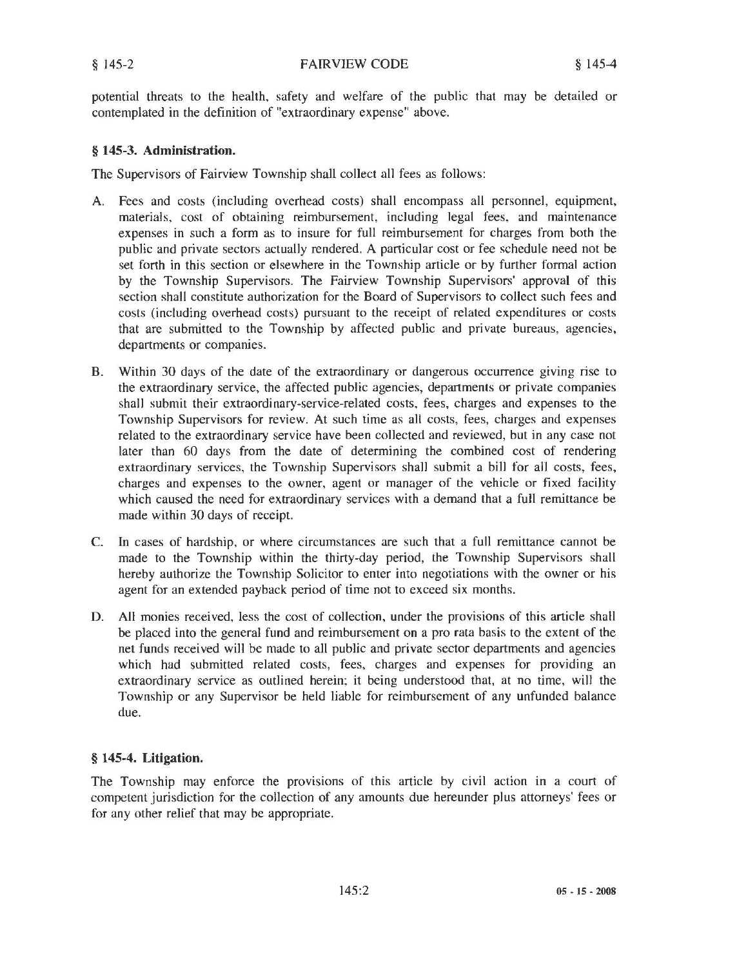potential threats to the health, safety and welfare of the public that may be detailed or contemplated in the definition of "extraordinary expense" above.

### § **145-3. Administration.**

The Supervisors of Fairview Township shall collect all fees as follows:

- A. Fees and costs (including overhead costs) shall encompass all personnel, equipment, materials, cost of obtaining reimbursement, including legal fees, and maintenance expenses in such a form as to insure for full reimbursement for charges from both the public and private sectors actually rendered. A particular cost or fee schedule need not be set forth in this section or elsewhere in the Township article or by further formal action by the Township Supervisors. The Fairview Township Supervisors' approval of this section shall constitute authorization for the Board of Supervisors to collect such fees and costs (including overhead costs) pursuant to the receipt of related expenditures or costs that are submitted to the Township by affected public and private bureaus, agencies, departments or companies.
- B. Within 30 days of the date of the extraordinary or dangerous occurrence giving rise to the extraordinary service, the affected public agencies, departments or private companies shall submit their extraordinary-service-related costs, fees, charges and expenses to the Township Supervisors for review. At such time as all costs, fees, charges and expenses related to the extraordinary service have been collected and reviewed, but in any case not later than 60 days from the date of determining the combined cost of rendering extraordinary services, the Township Supervisors shall submit a bill for all costs, fees, charges and expenses to the owner, agent or manager of the vehicle or fixed facility which caused the need for extraordinary services with a demand that a full remittance be made within 30 days of receipt.
- C. In cases of hardship, or where circumstances are such that a full remittance cannot be made to the Township within the thirty-day period, the Township Supervisors shall hereby authorize the Township Solicitor to enter into negotiations with the owner or his agent for an extended payback period of time not to exceed six months.
- D. AU monies received, less the cost of collection, under the provisions of this article shall be placed into the general fund and reimbursement on a pro rata basis to the extent of the net funds received will be made to all public and private sector departments and agencies which had submitted related costs, fees, charges and expenses for providing an extraordinary service as outlined herein; it being understood that, at no time, will the Township or any Supervisor be held liable for reimbursement of any unfunded balance due.

## § **145-4. Litigation.**

The Township may enforce the provisions of this article by civil action in a court of competent jurisdiction for the collection of any amounts due hereunder plus attorneys' fees or for any other relief that may be appropriate.